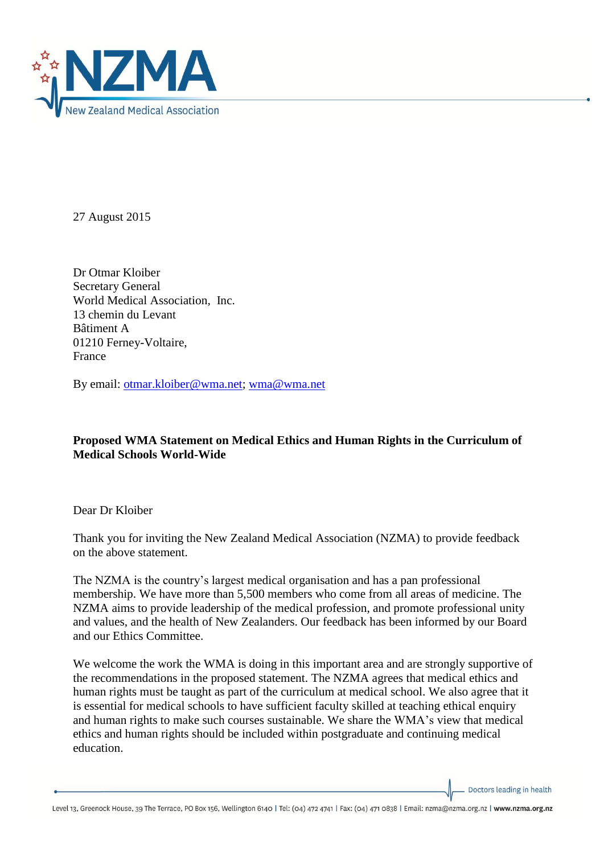

27 August 2015

Dr Otmar Kloiber Secretary General World Medical Association, Inc. 13 chemin du Levant Bâtiment A 01210 Ferney-Voltaire, France

By email: [otmar.kloiber@wma.net;](mailto:otmar.kloiber@wma.net) [wma@wma.net](mailto:wma@wma.net)

## **Proposed WMA Statement on Medical Ethics and Human Rights in the Curriculum of Medical Schools World-Wide**

Dear Dr Kloiber

Thank you for inviting the New Zealand Medical Association (NZMA) to provide feedback on the above statement.

The NZMA is the country's largest medical organisation and has a pan professional membership. We have more than 5,500 members who come from all areas of medicine. The NZMA aims to provide leadership of the medical profession, and promote professional unity and values, and the health of New Zealanders. Our feedback has been informed by our Board and our Ethics Committee.

We welcome the work the WMA is doing in this important area and are strongly supportive of the recommendations in the proposed statement. The NZMA agrees that medical ethics and human rights must be taught as part of the curriculum at medical school. We also agree that it is essential for medical schools to have sufficient faculty skilled at teaching ethical enquiry and human rights to make such courses sustainable. We share the WMA's view that medical ethics and human rights should be included within postgraduate and continuing medical education.

Doctors leading in health